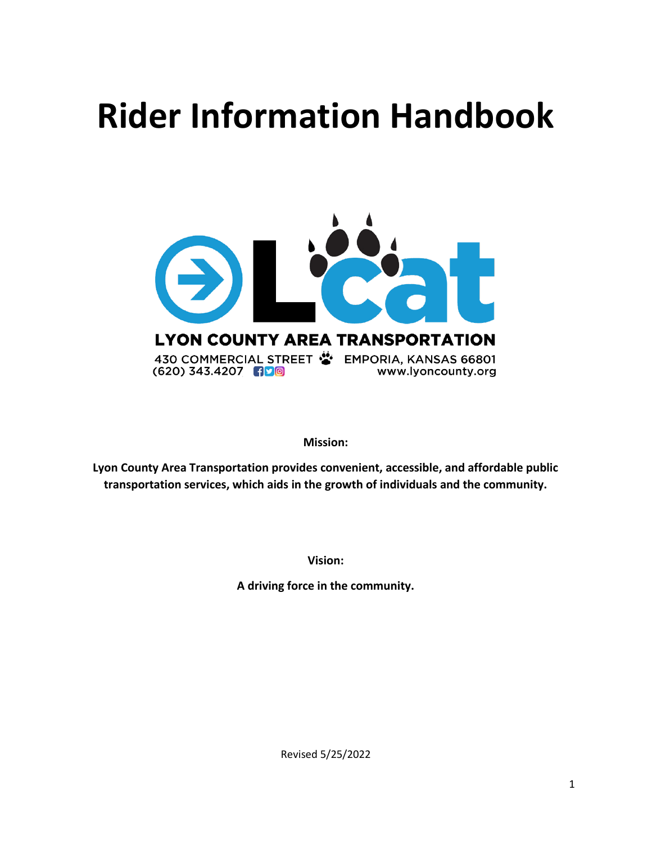# **Rider Information Handbook**



**Mission:**

**Lyon County Area Transportation provides convenient, accessible, and affordable public transportation services, which aids in the growth of individuals and the community.**

**Vision:**

**A driving force in the community.**

Revised 5/25/2022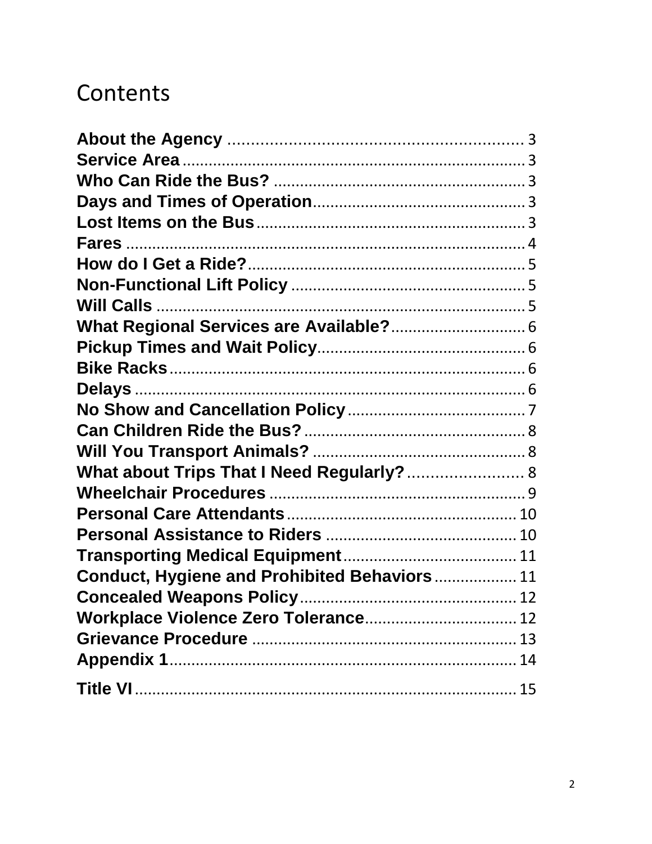# Contents

| What about Trips That I Need Regularly? 8            |    |
|------------------------------------------------------|----|
|                                                      |    |
|                                                      |    |
|                                                      |    |
|                                                      |    |
| <b>Conduct, Hygiene and Prohibited Behaviors  11</b> |    |
|                                                      |    |
| Workplace Violence Zero Tolerance 12                 |    |
|                                                      |    |
|                                                      |    |
|                                                      | 15 |
|                                                      |    |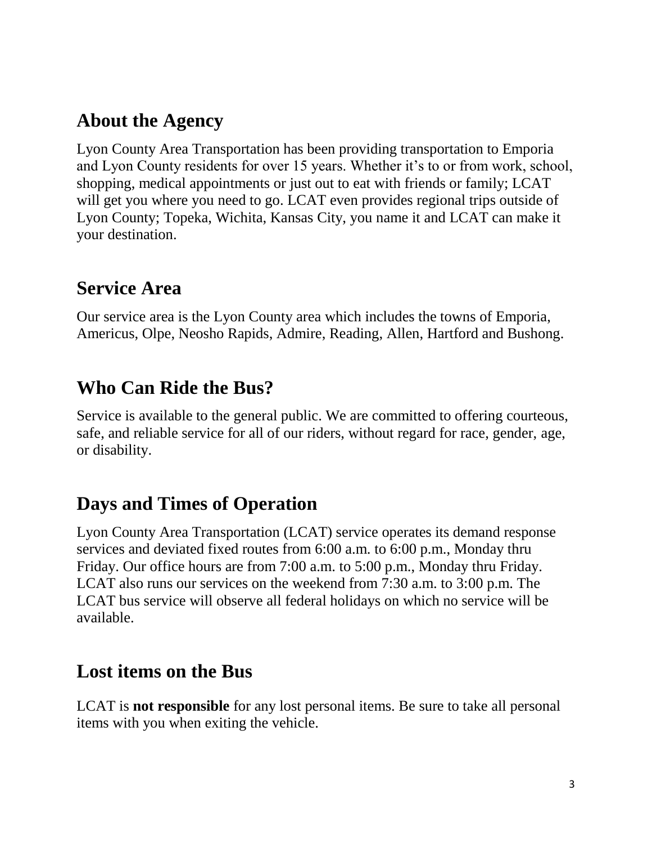# **About the Agency**

Lyon County Area Transportation has been providing transportation to Emporia and Lyon County residents for over 15 years. Whether it's to or from work, school, shopping, medical appointments or just out to eat with friends or family; LCAT will get you where you need to go. LCAT even provides regional trips outside of Lyon County; Topeka, Wichita, Kansas City, you name it and LCAT can make it your destination.

### **Service Area**

Our service area is the Lyon County area which includes the towns of Emporia, Americus, Olpe, Neosho Rapids, Admire, Reading, Allen, Hartford and Bushong.

### **Who Can Ride the Bus?**

Service is available to the general public. We are committed to offering courteous, safe, and reliable service for all of our riders, without regard for race, gender, age, or disability.

### **Days and Times of Operation**

Lyon County Area Transportation (LCAT) service operates its demand response services and deviated fixed routes from 6:00 a.m. to 6:00 p.m., Monday thru Friday. Our office hours are from 7:00 a.m. to 5:00 p.m., Monday thru Friday. LCAT also runs our services on the weekend from 7:30 a.m. to 3:00 p.m. The LCAT bus service will observe all federal holidays on which no service will be available.

### **Lost items on the Bus**

LCAT is **not responsible** for any lost personal items. Be sure to take all personal items with you when exiting the vehicle.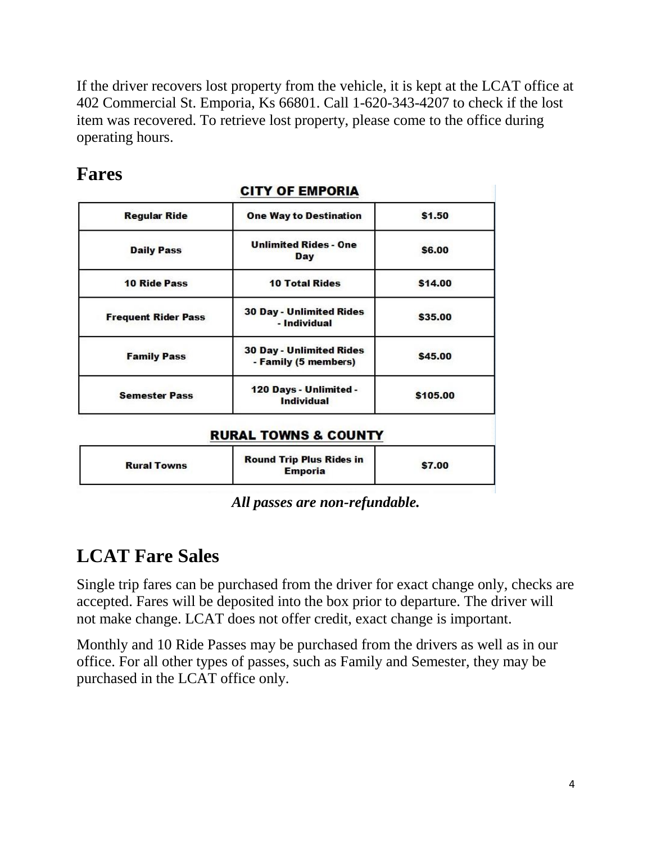If the driver recovers lost property from the vehicle, it is kept at the LCAT office at 402 Commercial St. Emporia, Ks 66801. Call 1-620-343-4207 to check if the lost item was recovered. To retrieve lost property, please come to the office during operating hours.

| <b>Regular Ride</b>        | <b>One Way to Destination</b>                           | \$1.50   |
|----------------------------|---------------------------------------------------------|----------|
| <b>Daily Pass</b>          | <b>Unlimited Rides - One</b><br>Day                     | \$6.00   |
| <b>10 Ride Pass</b>        | <b>10 Total Rides</b>                                   | \$14.00  |
| <b>Frequent Rider Pass</b> | <b>30 Day - Unlimited Rides</b><br>- Individual         | \$35.00  |
| <b>Family Pass</b>         | <b>30 Day - Unlimited Rides</b><br>- Family (5 members) | \$45.00  |
| <b>Semester Pass</b>       | 120 Days - Unlimited -<br><b>Individual</b>             | \$105.00 |

### **Fares**

*All passes are non-refundable.*

\$7.00

**Round Trip Plus Rides in** 

**Emporia** 

# **LCAT Fare Sales**

**Rural Towns** 

Single trip fares can be purchased from the driver for exact change only, checks are accepted. Fares will be deposited into the box prior to departure. The driver will not make change. LCAT does not offer credit, exact change is important.

Monthly and 10 Ride Passes may be purchased from the drivers as well as in our office. For all other types of passes, such as Family and Semester, they may be purchased in the LCAT office only.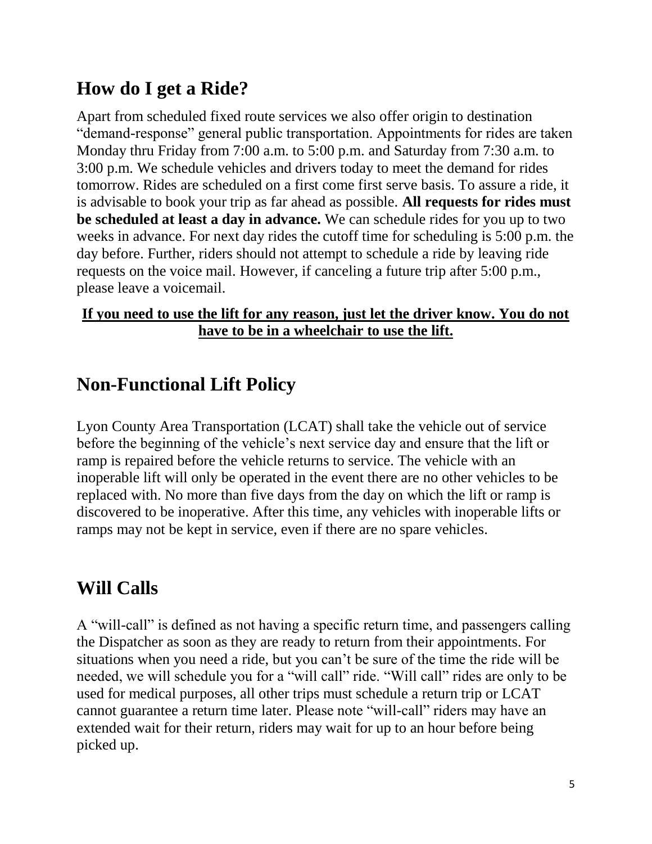# **How do I get a Ride?**

Apart from scheduled fixed route services we also offer origin to destination "demand-response" general public transportation. Appointments for rides are taken Monday thru Friday from 7:00 a.m. to 5:00 p.m. and Saturday from 7:30 a.m. to 3:00 p.m. We schedule vehicles and drivers today to meet the demand for rides tomorrow. Rides are scheduled on a first come first serve basis. To assure a ride, it is advisable to book your trip as far ahead as possible. **All requests for rides must be scheduled at least a day in advance.** We can schedule rides for you up to two weeks in advance. For next day rides the cutoff time for scheduling is 5:00 p.m. the day before. Further, riders should not attempt to schedule a ride by leaving ride requests on the voice mail. However, if canceling a future trip after 5:00 p.m., please leave a voicemail.

#### **If you need to use the lift for any reason, just let the driver know. You do not have to be in a wheelchair to use the lift.**

# **Non-Functional Lift Policy**

Lyon County Area Transportation (LCAT) shall take the vehicle out of service before the beginning of the vehicle's next service day and ensure that the lift or ramp is repaired before the vehicle returns to service. The vehicle with an inoperable lift will only be operated in the event there are no other vehicles to be replaced with. No more than five days from the day on which the lift or ramp is discovered to be inoperative. After this time, any vehicles with inoperable lifts or ramps may not be kept in service, even if there are no spare vehicles.

# **Will Calls**

A "will-call" is defined as not having a specific return time, and passengers calling the Dispatcher as soon as they are ready to return from their appointments. For situations when you need a ride, but you can't be sure of the time the ride will be needed, we will schedule you for a "will call" ride. "Will call" rides are only to be used for medical purposes, all other trips must schedule a return trip or LCAT cannot guarantee a return time later. Please note "will-call" riders may have an extended wait for their return, riders may wait for up to an hour before being picked up.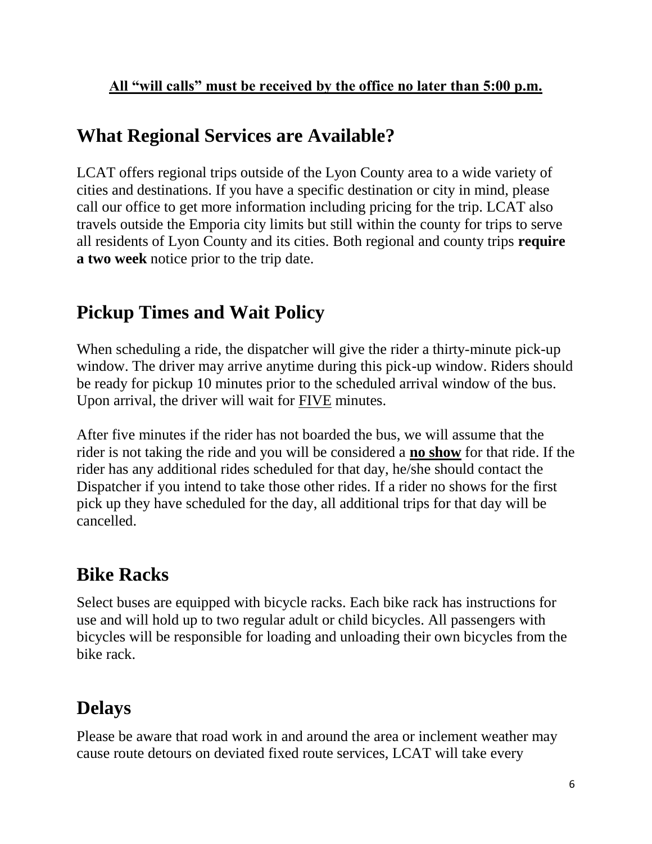# **What Regional Services are Available?**

LCAT offers regional trips outside of the Lyon County area to a wide variety of cities and destinations. If you have a specific destination or city in mind, please call our office to get more information including pricing for the trip. LCAT also travels outside the Emporia city limits but still within the county for trips to serve all residents of Lyon County and its cities. Both regional and county trips **require a two week** notice prior to the trip date.

# **Pickup Times and Wait Policy**

When scheduling a ride, the dispatcher will give the rider a thirty-minute pick-up window. The driver may arrive anytime during this pick-up window. Riders should be ready for pickup 10 minutes prior to the scheduled arrival window of the bus. Upon arrival, the driver will wait for FIVE minutes.

After five minutes if the rider has not boarded the bus, we will assume that the rider is not taking the ride and you will be considered a **no show** for that ride. If the rider has any additional rides scheduled for that day, he/she should contact the Dispatcher if you intend to take those other rides. If a rider no shows for the first pick up they have scheduled for the day, all additional trips for that day will be cancelled.

# **Bike Racks**

Select buses are equipped with bicycle racks. Each bike rack has instructions for use and will hold up to two regular adult or child bicycles. All passengers with bicycles will be responsible for loading and unloading their own bicycles from the bike rack.

# **Delays**

Please be aware that road work in and around the area or inclement weather may cause route detours on deviated fixed route services, LCAT will take every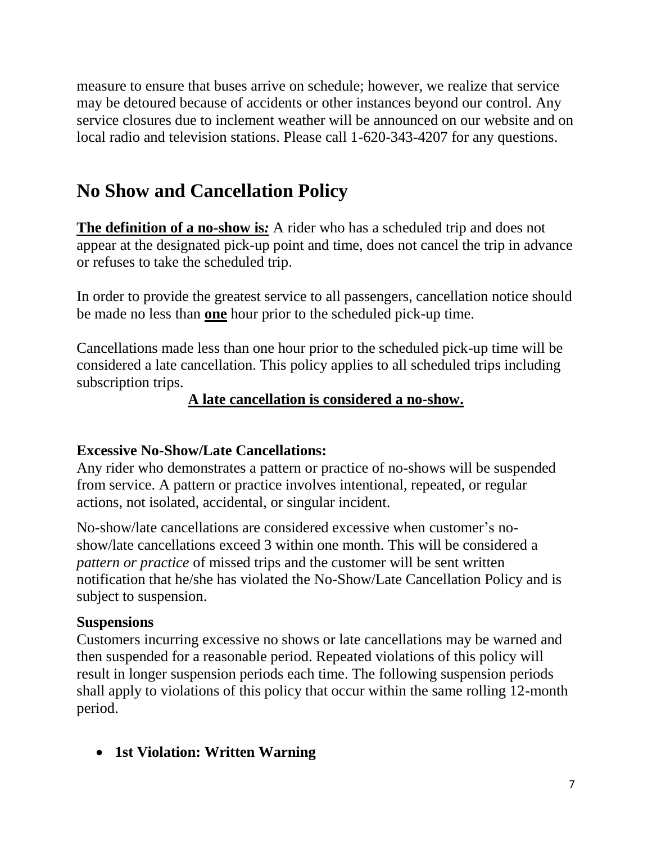measure to ensure that buses arrive on schedule; however, we realize that service may be detoured because of accidents or other instances beyond our control. Any service closures due to inclement weather will be announced on our website and on local radio and television stations. Please call 1-620-343-4207 for any questions.

# **No Show and Cancellation Policy**

**The definition of a no-show is***:* A rider who has a scheduled trip and does not appear at the designated pick-up point and time, does not cancel the trip in advance or refuses to take the scheduled trip.

In order to provide the greatest service to all passengers, cancellation notice should be made no less than **one** hour prior to the scheduled pick-up time.

Cancellations made less than one hour prior to the scheduled pick-up time will be considered a late cancellation. This policy applies to all scheduled trips including subscription trips.

#### **A late cancellation is considered a no-show.**

#### **Excessive No-Show/Late Cancellations:**

Any rider who demonstrates a pattern or practice of no-shows will be suspended from service. A pattern or practice involves intentional, repeated, or regular actions, not isolated, accidental, or singular incident.

No-show/late cancellations are considered excessive when customer's noshow/late cancellations exceed 3 within one month. This will be considered a *pattern or practice* of missed trips and the customer will be sent written notification that he/she has violated the No-Show/Late Cancellation Policy and is subject to suspension.

#### **Suspensions**

Customers incurring excessive no shows or late cancellations may be warned and then suspended for a reasonable period. Repeated violations of this policy will result in longer suspension periods each time. The following suspension periods shall apply to violations of this policy that occur within the same rolling 12-month period.

• **1st Violation: Written Warning**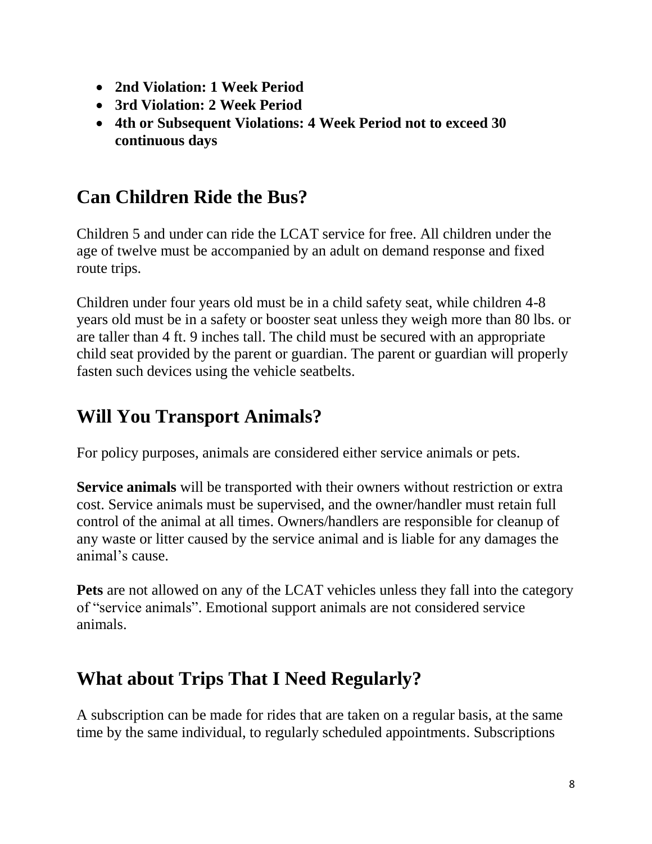- **2nd Violation: 1 Week Period**
- **3rd Violation: 2 Week Period**
- **4th or Subsequent Violations: 4 Week Period not to exceed 30 continuous days**

# **Can Children Ride the Bus?**

Children 5 and under can ride the LCAT service for free. All children under the age of twelve must be accompanied by an adult on demand response and fixed route trips.

Children under four years old must be in a child safety seat, while children 4-8 years old must be in a safety or booster seat unless they weigh more than 80 lbs. or are taller than 4 ft. 9 inches tall. The child must be secured with an appropriate child seat provided by the parent or guardian. The parent or guardian will properly fasten such devices using the vehicle seatbelts.

# **Will You Transport Animals?**

For policy purposes, animals are considered either service animals or pets.

**Service animals** will be transported with their owners without restriction or extra cost. Service animals must be supervised, and the owner/handler must retain full control of the animal at all times. Owners/handlers are responsible for cleanup of any waste or litter caused by the service animal and is liable for any damages the animal's cause.

**Pets** are not allowed on any of the LCAT vehicles unless they fall into the category of "service animals". Emotional support animals are not considered service animals.

# **What about Trips That I Need Regularly?**

A subscription can be made for rides that are taken on a regular basis, at the same time by the same individual, to regularly scheduled appointments. Subscriptions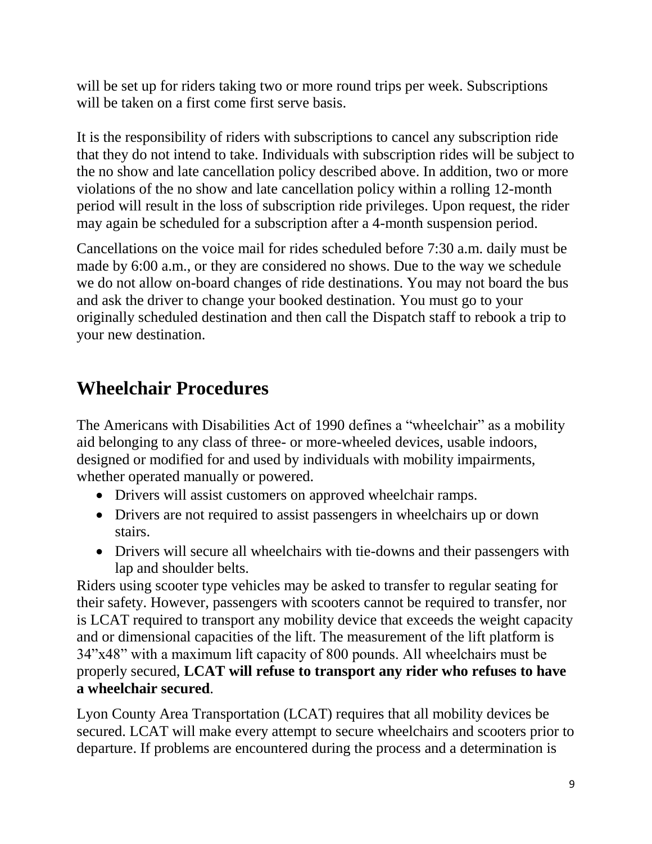will be set up for riders taking two or more round trips per week. Subscriptions will be taken on a first come first serve basis.

It is the responsibility of riders with subscriptions to cancel any subscription ride that they do not intend to take. Individuals with subscription rides will be subject to the no show and late cancellation policy described above. In addition, two or more violations of the no show and late cancellation policy within a rolling 12-month period will result in the loss of subscription ride privileges. Upon request, the rider may again be scheduled for a subscription after a 4-month suspension period.

Cancellations on the voice mail for rides scheduled before 7:30 a.m. daily must be made by 6:00 a.m., or they are considered no shows. Due to the way we schedule we do not allow on-board changes of ride destinations. You may not board the bus and ask the driver to change your booked destination. You must go to your originally scheduled destination and then call the Dispatch staff to rebook a trip to your new destination.

# **Wheelchair Procedures**

The Americans with Disabilities Act of 1990 defines a "wheelchair" as a mobility aid belonging to any class of three- or more-wheeled devices, usable indoors, designed or modified for and used by individuals with mobility impairments, whether operated manually or powered.

- Drivers will assist customers on approved wheelchair ramps.
- Drivers are not required to assist passengers in wheelchairs up or down stairs.
- Drivers will secure all wheelchairs with tie-downs and their passengers with lap and shoulder belts.

Riders using scooter type vehicles may be asked to transfer to regular seating for their safety. However, passengers with scooters cannot be required to transfer, nor is LCAT required to transport any mobility device that exceeds the weight capacity and or dimensional capacities of the lift. The measurement of the lift platform is 34"x48" with a maximum lift capacity of 800 pounds. All wheelchairs must be properly secured, **LCAT will refuse to transport any rider who refuses to have a wheelchair secured**.

Lyon County Area Transportation (LCAT) requires that all mobility devices be secured. LCAT will make every attempt to secure wheelchairs and scooters prior to departure. If problems are encountered during the process and a determination is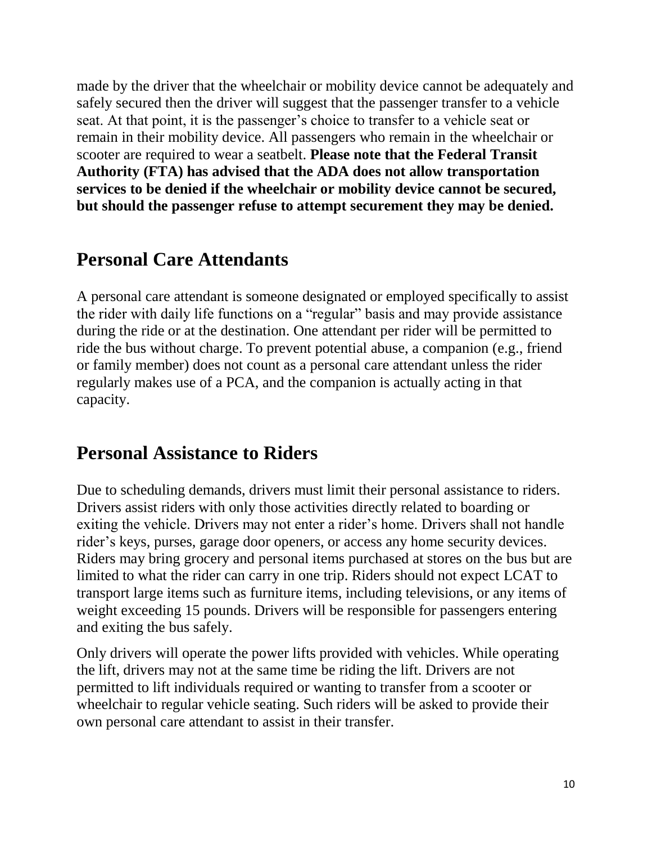made by the driver that the wheelchair or mobility device cannot be adequately and safely secured then the driver will suggest that the passenger transfer to a vehicle seat. At that point, it is the passenger's choice to transfer to a vehicle seat or remain in their mobility device. All passengers who remain in the wheelchair or scooter are required to wear a seatbelt. **Please note that the Federal Transit Authority (FTA) has advised that the ADA does not allow transportation services to be denied if the wheelchair or mobility device cannot be secured, but should the passenger refuse to attempt securement they may be denied.**

### **Personal Care Attendants**

A personal care attendant is someone designated or employed specifically to assist the rider with daily life functions on a "regular" basis and may provide assistance during the ride or at the destination. One attendant per rider will be permitted to ride the bus without charge. To prevent potential abuse, a companion (e.g., friend or family member) does not count as a personal care attendant unless the rider regularly makes use of a PCA, and the companion is actually acting in that capacity.

### **Personal Assistance to Riders**

Due to scheduling demands, drivers must limit their personal assistance to riders. Drivers assist riders with only those activities directly related to boarding or exiting the vehicle. Drivers may not enter a rider's home. Drivers shall not handle rider's keys, purses, garage door openers, or access any home security devices. Riders may bring grocery and personal items purchased at stores on the bus but are limited to what the rider can carry in one trip. Riders should not expect LCAT to transport large items such as furniture items, including televisions, or any items of weight exceeding 15 pounds. Drivers will be responsible for passengers entering and exiting the bus safely.

Only drivers will operate the power lifts provided with vehicles. While operating the lift, drivers may not at the same time be riding the lift. Drivers are not permitted to lift individuals required or wanting to transfer from a scooter or wheelchair to regular vehicle seating. Such riders will be asked to provide their own personal care attendant to assist in their transfer.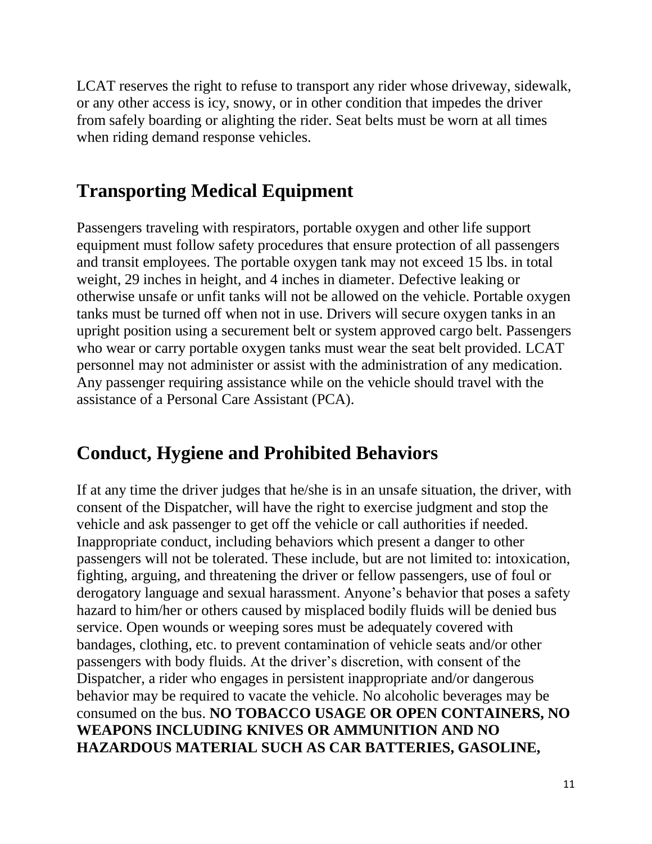LCAT reserves the right to refuse to transport any rider whose driveway, sidewalk, or any other access is icy, snowy, or in other condition that impedes the driver from safely boarding or alighting the rider. Seat belts must be worn at all times when riding demand response vehicles.

### **Transporting Medical Equipment**

Passengers traveling with respirators, portable oxygen and other life support equipment must follow safety procedures that ensure protection of all passengers and transit employees. The portable oxygen tank may not exceed 15 lbs. in total weight, 29 inches in height, and 4 inches in diameter. Defective leaking or otherwise unsafe or unfit tanks will not be allowed on the vehicle. Portable oxygen tanks must be turned off when not in use. Drivers will secure oxygen tanks in an upright position using a securement belt or system approved cargo belt. Passengers who wear or carry portable oxygen tanks must wear the seat belt provided. LCAT personnel may not administer or assist with the administration of any medication. Any passenger requiring assistance while on the vehicle should travel with the assistance of a Personal Care Assistant (PCA).

# **Conduct, Hygiene and Prohibited Behaviors**

If at any time the driver judges that he/she is in an unsafe situation, the driver, with consent of the Dispatcher, will have the right to exercise judgment and stop the vehicle and ask passenger to get off the vehicle or call authorities if needed. Inappropriate conduct, including behaviors which present a danger to other passengers will not be tolerated. These include, but are not limited to: intoxication, fighting, arguing, and threatening the driver or fellow passengers, use of foul or derogatory language and sexual harassment. Anyone's behavior that poses a safety hazard to him/her or others caused by misplaced bodily fluids will be denied bus service. Open wounds or weeping sores must be adequately covered with bandages, clothing, etc. to prevent contamination of vehicle seats and/or other passengers with body fluids. At the driver's discretion, with consent of the Dispatcher, a rider who engages in persistent inappropriate and/or dangerous behavior may be required to vacate the vehicle. No alcoholic beverages may be consumed on the bus. **NO TOBACCO USAGE OR OPEN CONTAINERS, NO WEAPONS INCLUDING KNIVES OR AMMUNITION AND NO HAZARDOUS MATERIAL SUCH AS CAR BATTERIES, GASOLINE,**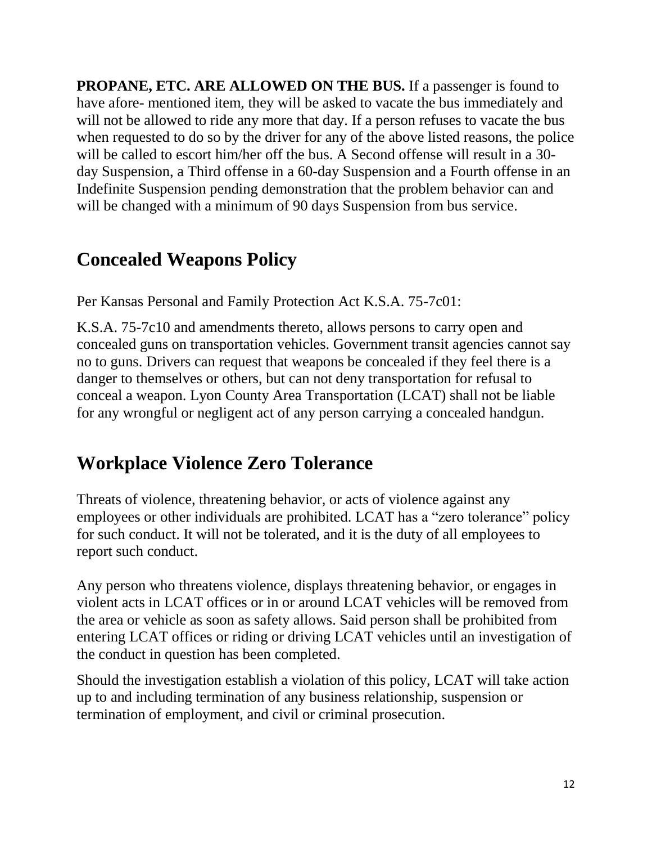**PROPANE, ETC. ARE ALLOWED ON THE BUS.** If a passenger is found to have afore- mentioned item, they will be asked to vacate the bus immediately and will not be allowed to ride any more that day. If a person refuses to vacate the bus when requested to do so by the driver for any of the above listed reasons, the police will be called to escort him/her off the bus. A Second offense will result in a 30day Suspension, a Third offense in a 60-day Suspension and a Fourth offense in an Indefinite Suspension pending demonstration that the problem behavior can and will be changed with a minimum of 90 days Suspension from bus service.

# **Concealed Weapons Policy**

Per Kansas Personal and Family Protection Act K.S.A. 75-7c01:

K.S.A. 75-7c10 and amendments thereto, allows persons to carry open and concealed guns on transportation vehicles. Government transit agencies cannot say no to guns. Drivers can request that weapons be concealed if they feel there is a danger to themselves or others, but can not deny transportation for refusal to conceal a weapon. Lyon County Area Transportation (LCAT) shall not be liable for any wrongful or negligent act of any person carrying a concealed handgun.

# **Workplace Violence Zero Tolerance**

Threats of violence, threatening behavior, or acts of violence against any employees or other individuals are prohibited. LCAT has a "zero tolerance" policy for such conduct. It will not be tolerated, and it is the duty of all employees to report such conduct.

Any person who threatens violence, displays threatening behavior, or engages in violent acts in LCAT offices or in or around LCAT vehicles will be removed from the area or vehicle as soon as safety allows. Said person shall be prohibited from entering LCAT offices or riding or driving LCAT vehicles until an investigation of the conduct in question has been completed.

Should the investigation establish a violation of this policy, LCAT will take action up to and including termination of any business relationship, suspension or termination of employment, and civil or criminal prosecution.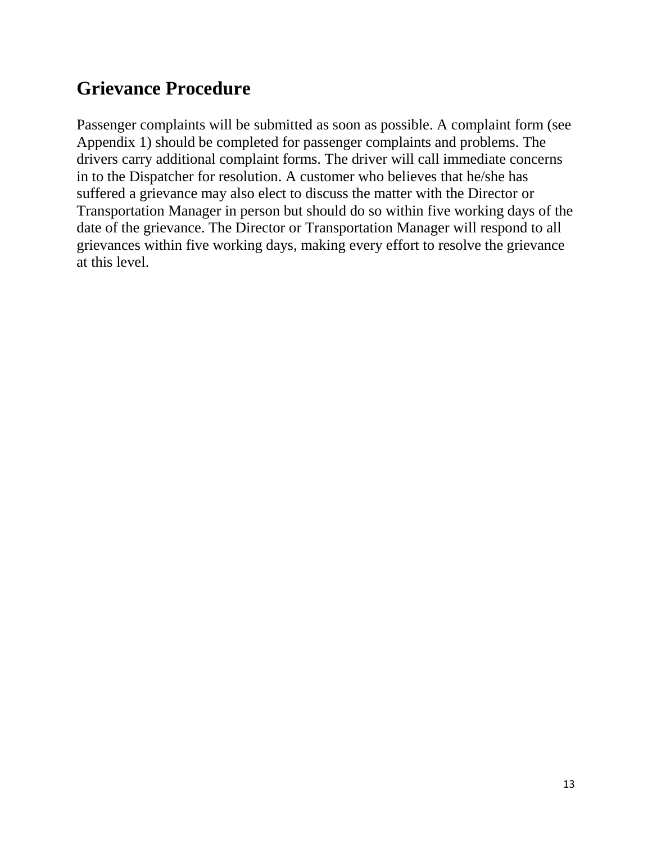# **Grievance Procedure**

Passenger complaints will be submitted as soon as possible. A complaint form (see Appendix 1) should be completed for passenger complaints and problems. The drivers carry additional complaint forms. The driver will call immediate concerns in to the Dispatcher for resolution. A customer who believes that he/she has suffered a grievance may also elect to discuss the matter with the Director or Transportation Manager in person but should do so within five working days of the date of the grievance. The Director or Transportation Manager will respond to all grievances within five working days, making every effort to resolve the grievance at this level.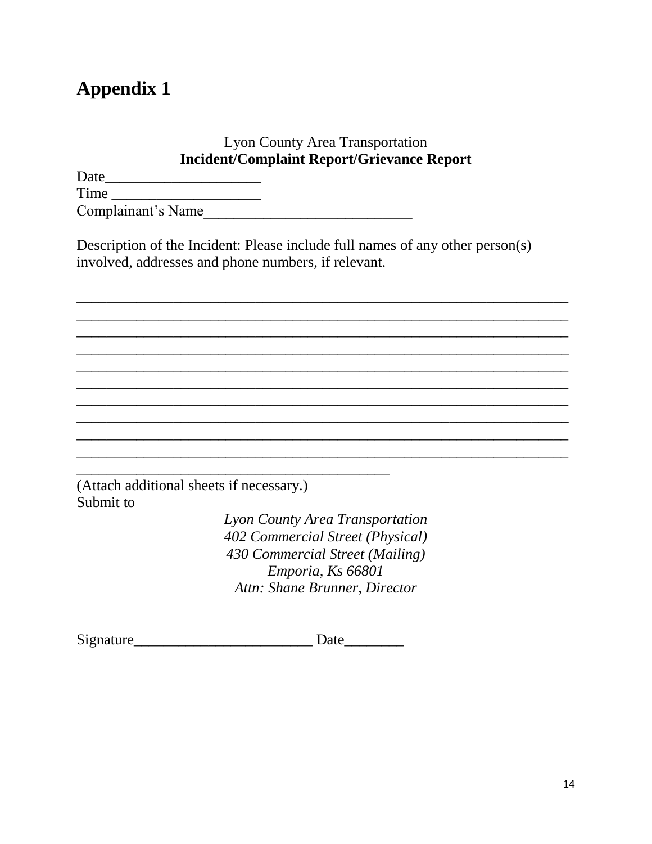# **Appendix 1**

#### Lyon County Area Transportation **Incident/Complaint Report/Grievance Report**

| Date               |  |
|--------------------|--|
| Time               |  |
| Complainant's Name |  |

Description of the Incident: Please include full names of any other person(s) involved, addresses and phone numbers, if relevant.

 $\overline{a_1}$  ,  $\overline{a_2}$  ,  $\overline{a_3}$  ,  $\overline{a_4}$  ,  $\overline{a_5}$  ,  $\overline{a_6}$  ,  $\overline{a_7}$  ,  $\overline{a_8}$  ,  $\overline{a_9}$  ,  $\overline{a_9}$  ,  $\overline{a_9}$  ,  $\overline{a_9}$  ,  $\overline{a_9}$  ,  $\overline{a_9}$  ,  $\overline{a_9}$  ,  $\overline{a_9}$  ,  $\overline{a_9}$  ,  $\overline{a_1}$  ,  $\overline{a_2}$  ,  $\overline{a_3}$  ,  $\overline{a_4}$  ,  $\overline{a_5}$  ,  $\overline{a_6}$  ,  $\overline{a_7}$  ,  $\overline{a_8}$  ,  $\overline{a_9}$  ,  $\overline{a_9}$  ,  $\overline{a_9}$  ,  $\overline{a_9}$  ,  $\overline{a_9}$  ,  $\overline{a_9}$  ,  $\overline{a_9}$  ,  $\overline{a_9}$  ,  $\overline{a_9}$  ,  $\overline{a_1}$  ,  $\overline{a_2}$  ,  $\overline{a_3}$  ,  $\overline{a_4}$  ,  $\overline{a_5}$  ,  $\overline{a_6}$  ,  $\overline{a_7}$  ,  $\overline{a_8}$  ,  $\overline{a_9}$  ,  $\overline{a_9}$  ,  $\overline{a_9}$  ,  $\overline{a_9}$  ,  $\overline{a_9}$  ,  $\overline{a_9}$  ,  $\overline{a_9}$  ,  $\overline{a_9}$  ,  $\overline{a_9}$  ,  $\overline{\phantom{a}}$  , and the contribution of the contribution of the contribution of the contribution of the contribution of the contribution of the contribution of the contribution of the contribution of the contribution of the  $\overline{a_1}$  ,  $\overline{a_2}$  ,  $\overline{a_3}$  ,  $\overline{a_4}$  ,  $\overline{a_5}$  ,  $\overline{a_6}$  ,  $\overline{a_7}$  ,  $\overline{a_8}$  ,  $\overline{a_9}$  ,  $\overline{a_9}$  ,  $\overline{a_9}$  ,  $\overline{a_9}$  ,  $\overline{a_9}$  ,  $\overline{a_9}$  ,  $\overline{a_9}$  ,  $\overline{a_9}$  ,  $\overline{a_9}$  ,  $\overline{a_1}$  ,  $\overline{a_2}$  ,  $\overline{a_3}$  ,  $\overline{a_4}$  ,  $\overline{a_5}$  ,  $\overline{a_6}$  ,  $\overline{a_7}$  ,  $\overline{a_8}$  ,  $\overline{a_9}$  ,  $\overline{a_9}$  ,  $\overline{a_9}$  ,  $\overline{a_9}$  ,  $\overline{a_9}$  ,  $\overline{a_9}$  ,  $\overline{a_9}$  ,  $\overline{a_9}$  ,  $\overline{a_9}$  , \_\_\_\_\_\_\_\_\_\_\_\_\_\_\_\_\_\_\_\_\_\_\_\_\_\_\_\_\_\_\_\_\_\_\_\_\_\_\_\_\_\_\_\_\_\_\_\_\_\_\_\_\_\_\_\_\_\_\_\_\_\_\_\_\_\_ \_\_\_\_\_\_\_\_\_\_\_\_\_\_\_\_\_\_\_\_\_\_\_\_\_\_\_\_\_\_\_\_\_\_\_\_\_\_\_\_\_\_\_\_\_\_\_\_\_\_\_\_\_\_\_\_\_\_\_\_\_\_\_\_\_\_  $\overline{a_1}$  ,  $\overline{a_2}$  ,  $\overline{a_3}$  ,  $\overline{a_4}$  ,  $\overline{a_5}$  ,  $\overline{a_6}$  ,  $\overline{a_7}$  ,  $\overline{a_8}$  ,  $\overline{a_9}$  ,  $\overline{a_9}$  ,  $\overline{a_9}$  ,  $\overline{a_9}$  ,  $\overline{a_9}$  ,  $\overline{a_9}$  ,  $\overline{a_9}$  ,  $\overline{a_9}$  ,  $\overline{a_9}$  , \_\_\_\_\_\_\_\_\_\_\_\_\_\_\_\_\_\_\_\_\_\_\_\_\_\_\_\_\_\_\_\_\_\_\_\_\_\_\_\_\_\_\_\_\_\_\_\_\_\_\_\_\_\_\_\_\_\_\_\_\_\_\_\_\_\_

(Attach additional sheets if necessary.) Submit to

> *Lyon County Area Transportation 402 Commercial Street (Physical) 430 Commercial Street (Mailing) Emporia, Ks 66801 Attn: Shane Brunner, Director*

Signature Date

\_\_\_\_\_\_\_\_\_\_\_\_\_\_\_\_\_\_\_\_\_\_\_\_\_\_\_\_\_\_\_\_\_\_\_\_\_\_\_\_\_\_